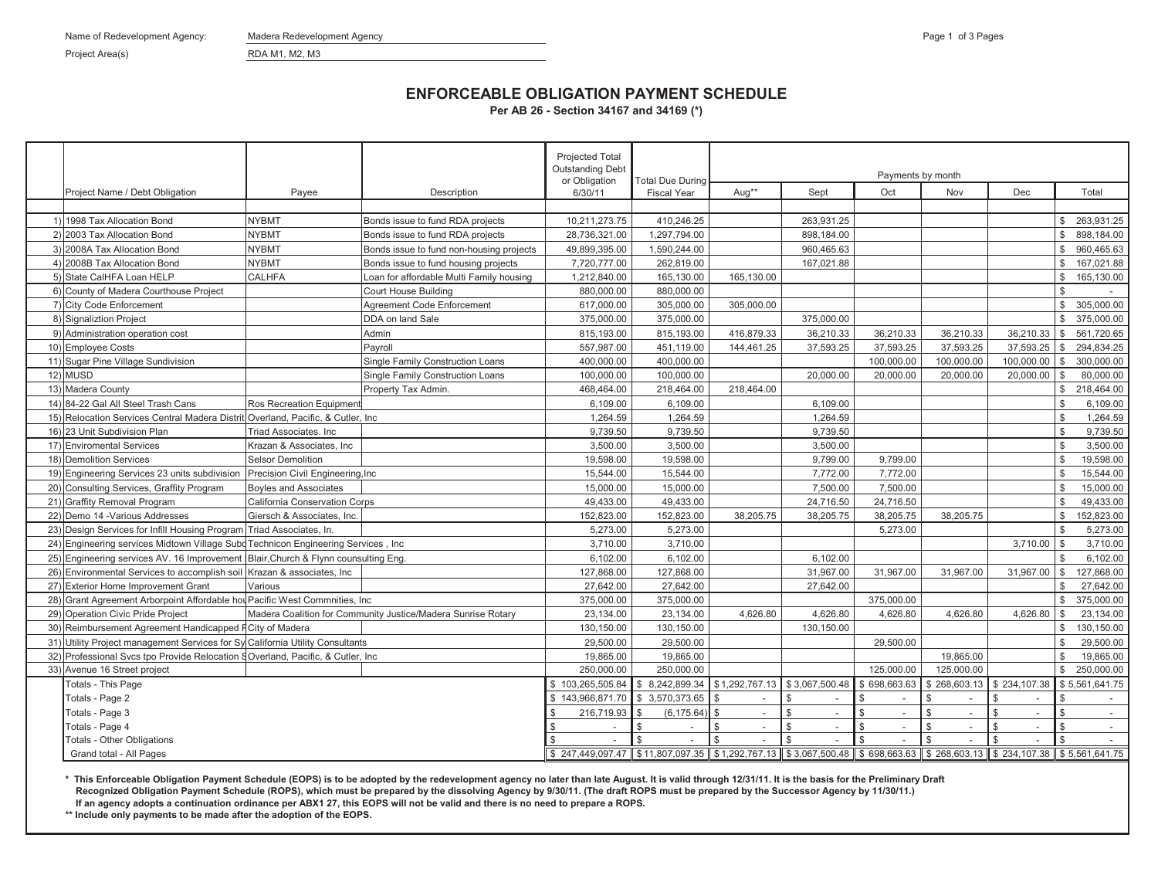Name of Redevelopment Agency: Madera Redevelopment Agency Page 1 of 3 Pages 1 of 3 Pages 1 of 3 Pages 1 of 3 Pages 1 of 3 Pages 1 of 3 Pages 1 of 3 Pages 1 of 3 Pages 1 of 3 Pages 1 of 3 Pages 1 of 3 Pages 1 of 3 Pages 1 o

Project Area(s) RDA M1, M2, M3

## **ENFORCEABLE OBLIGATION PAYMENT SCHEDULE**

**Per AB 26 - Section 34167 and 34169 (\*)**

|     |                                                                                    |                                   |                                                              | <b>Projected Total</b><br><b>Outstanding Debt</b> |                                                                                                                                                                                                                                     | Payments by month |                |              |                |                |                |                |
|-----|------------------------------------------------------------------------------------|-----------------------------------|--------------------------------------------------------------|---------------------------------------------------|-------------------------------------------------------------------------------------------------------------------------------------------------------------------------------------------------------------------------------------|-------------------|----------------|--------------|----------------|----------------|----------------|----------------|
|     | Project Name / Debt Obligation                                                     | Payee                             | Description                                                  | or Obligation<br>6/30/11                          | <b>Total Due During</b><br><b>Fiscal Year</b>                                                                                                                                                                                       | Aug**             | Sept           | Oct          | Nov            | <b>Dec</b>     |                | Total          |
|     |                                                                                    |                                   |                                                              |                                                   |                                                                                                                                                                                                                                     |                   |                |              |                |                |                |                |
|     | 1) 1998 Tax Allocation Bond                                                        | <b>NYBMT</b>                      | Bonds issue to fund RDA projects                             | 10,211,273.75                                     | 410,246.25                                                                                                                                                                                                                          |                   | 263,931.25     |              |                |                |                | \$ 263,931.25  |
|     | 2) 2003 Tax Allocation Bond                                                        | <b>NYBMT</b>                      | Bonds issue to fund RDA projects                             | 28,736,321.00                                     | 1,297,794.00                                                                                                                                                                                                                        |                   | 898,184.00     |              |                |                | $\mathbb{S}$   | 898,184.00     |
|     | 3) 2008A Tax Allocation Bond                                                       | <b>NYBMT</b>                      | Bonds issue to fund non-housing projects                     | 49,899,395.00                                     | 1,590,244.00                                                                                                                                                                                                                        |                   | 960,465.63     |              |                |                | $\mathbb{S}$   | 960,465.63     |
|     | 4) 2008B Tax Allocation Bond                                                       | <b>NYBMT</b>                      | Bonds issue to fund housing projects                         | 7,720,777.00                                      | 262,819.00                                                                                                                                                                                                                          |                   | 167,021.88     |              |                |                |                | \$ 167,021.88  |
|     | 5) State CalHFA Loan HELP                                                          | <b>CALHFA</b>                     | Loan for affordable Multi Family housing                     | 1,212,840.00                                      | 165,130.00                                                                                                                                                                                                                          | 165,130.00        |                |              |                |                | $\mathbb S$    | 165,130.00     |
|     | 6) County of Madera Courthouse Project                                             |                                   | Court House Building                                         | 880,000.00                                        | 880,000.00                                                                                                                                                                                                                          |                   |                |              |                |                | $\mathfrak{F}$ |                |
|     | 7) City Code Enforcement                                                           |                                   | Agreement Code Enforcement                                   | 617,000.00                                        | 305,000.00                                                                                                                                                                                                                          | 305,000.00        |                |              |                |                | $\mathbb{S}$   | 305,000.00     |
|     | 8) Signaliztion Project                                                            |                                   | DDA on land Sale                                             | 375,000.00                                        | 375,000.00                                                                                                                                                                                                                          |                   | 375,000.00     |              |                |                | $\mathbb{S}$   | 375,000.00     |
|     | 9) Administration operation cost                                                   |                                   | Admin                                                        | 815,193.00                                        | 815,193.00                                                                                                                                                                                                                          | 416,879.33        | 36,210.33      | 36,210.33    | 36,210.33      | $36,210.33$ \$ |                | 561,720.65     |
|     | 10) Employee Costs                                                                 |                                   | Payroll                                                      | 557,987.00                                        | 451,119.00                                                                                                                                                                                                                          | 144,461.25        | 37,593.25      | 37,593.25    | 37,593.25      | 37,593.25      | $\mathbb{S}$   | 294,834.25     |
|     | 11) Sugar Pine Village Sundivision                                                 |                                   | Single Family Construction Loans                             | 400,000.00                                        | 400,000.00                                                                                                                                                                                                                          |                   |                | 100,000.00   | 100,000.00     | 100,000.00 \$  |                | 300,000.00     |
|     | 12) MUSD                                                                           |                                   | Single Family Construction Loans                             | 100,000.00                                        | 100,000.00                                                                                                                                                                                                                          |                   | 20,000.00      | 20,000.00    | 20,000.00      | 20,000.00      | <b>S</b>       | 80,000.00      |
|     | 13) Madera County                                                                  |                                   | Property Tax Admin.                                          | 468,464.00                                        | 218,464.00                                                                                                                                                                                                                          | 218,464.00        |                |              |                |                | $\mathbb{S}$   | 218,464.00     |
|     | 14) 84-22 Gal All Steel Trash Cans                                                 | Ros Recreation Equipment          |                                                              | 6.109.00                                          | 6,109.00                                                                                                                                                                                                                            |                   | 6.109.00       |              |                |                | $\mathfrak{S}$ | 6,109.00       |
| 15) | Relocation Services Central Madera Distrit Overland, Pacific, & Cutler, Inc.       |                                   |                                                              | 1,264.59                                          | 1,264.59                                                                                                                                                                                                                            |                   | 1,264.59       |              |                |                | $\mathbb S$    | 1,264.59       |
|     | 16) 23 Unit Subdivision Plan                                                       | Triad Associates, Inc.            |                                                              | 9,739.50                                          | 9,739.50                                                                                                                                                                                                                            |                   | 9,739.50       |              |                |                | \$             | 9,739.50       |
|     | 17) Enviromental Services                                                          | Krazan & Associates, Inc          |                                                              | 3.500.00                                          | 3,500.00                                                                                                                                                                                                                            |                   | 3,500.00       |              |                |                | \$             | 3.500.00       |
|     | 18) Demolition Services                                                            | Selsor Demolition                 |                                                              | 19,598.00                                         | 19,598.00                                                                                                                                                                                                                           |                   | 9,799.00       | 9,799.00     |                |                | \$             | 19,598.00      |
|     | 19) Engineering Services 23 units subdivision                                      | Precision Civil Engineering, Inc. |                                                              | 15,544.00                                         | 15,544.00                                                                                                                                                                                                                           |                   | 7,772.00       | 7,772.00     |                |                | $\mathbb{S}$   | 15,544.00      |
|     | 20) Consulting Services, Graffity Program                                          | <b>Boyles and Associates</b>      |                                                              | 15,000.00                                         | 15,000.00                                                                                                                                                                                                                           |                   | 7,500.00       | 7.500.00     |                |                | $\mathbb{S}$   | 15,000.00      |
|     | 21) Graffity Removal Program                                                       | California Conservation Corps     |                                                              | 49,433.00                                         | 49,433.00                                                                                                                                                                                                                           |                   | 24,716.50      | 24,716.50    |                |                | $\mathbb S$    | 49,433.00      |
|     | 22) Demo 14 - Various Addresses                                                    | Giersch & Associates, Inc.        |                                                              | 152,823.00                                        | 152,823.00                                                                                                                                                                                                                          | 38,205.75         | 38,205.75      | 38,205.75    | 38,205.75      |                | $\mathbb S$    | 152,823.00     |
|     | 23) Design Services for Infill Housing Program Triad Associates, In.               |                                   |                                                              | 5,273.00                                          | 5,273.00                                                                                                                                                                                                                            |                   |                | 5,273.00     |                |                | $\mathfrak{F}$ | 5,273.00       |
|     | 24) Engineering services Midtown Village Subd Technicon Engineering Services, Inc. |                                   |                                                              | 3,710.00                                          | 3,710.00                                                                                                                                                                                                                            |                   |                |              |                | $3,710.00$ \$  |                | 3,710.00       |
|     | 25) Engineering services AV. 16 Improvement Blair, Church & Flynn counsulting Eng. |                                   |                                                              | 6,102.00                                          | 6,102.00                                                                                                                                                                                                                            |                   | 6.102.00       |              |                |                | $\mathcal{R}$  | 6,102.00       |
|     | 26) Environmental Services to accomplish soil Krazan & associates, Inc             |                                   |                                                              | 127,868.00                                        | 127,868.00                                                                                                                                                                                                                          |                   | 31,967.00      | 31,967.00    | 31,967.00      | 31,967.00      | l \$           | 127,868.00     |
|     | 27) Exterior Home Improvement Grant                                                | Various                           |                                                              | 27,642.00                                         | 27,642.00                                                                                                                                                                                                                           |                   | 27,642.00      |              |                |                | \$             | 27,642.00      |
|     | 28) Grant Agreement Arborpoint Affordable hou Pacific West Commnities, Inc         |                                   |                                                              | 375,000.00                                        | 375,000.00                                                                                                                                                                                                                          |                   |                | 375,000.00   |                |                | $\mathbb{S}$   | 375,000.00     |
|     | 29) Operation Civic Pride Project                                                  |                                   | Madera Coalition for Community Justice/Madera Sunrise Rotary | 23,134.00                                         | 23,134.00                                                                                                                                                                                                                           | 4,626.80          | 4,626.80       | 4,626.80     | 4,626.80       | $4,626.80$ \$  |                | 23,134.00      |
| 30) | Reimbursement Agreement Handicapped FCity of Madera                                |                                   |                                                              | 130,150.00                                        | 130,150.00                                                                                                                                                                                                                          |                   | 130,150.00     |              |                |                | $\mathbb{S}$   | 130,150.00     |
|     | 31) Utility Project management Services for Sy California Utility Consultants      |                                   |                                                              | 29,500.00                                         | 29,500.00                                                                                                                                                                                                                           |                   |                | 29,500.00    |                |                | $\mathbb{S}$   | 29,500.00      |
|     | 32) Professional Svcs tpo Provide Relocation SOverland, Pacific, & Cutler, Inc.    |                                   |                                                              | 19,865.00                                         | 19,865.00                                                                                                                                                                                                                           |                   |                |              | 19,865.00      |                | $\mathbb S$    | 19,865.00      |
|     | 33) Avenue 16 Street project                                                       |                                   |                                                              | 250,000.00                                        | 250,000.00                                                                                                                                                                                                                          |                   |                | 125,000.00   | 125,000.00     |                | $\mathbb{S}$   | 250,000.00     |
|     | Totals - This Page                                                                 |                                   |                                                              | \$103.265.505.84                                  | 8.242.899.34<br>£.                                                                                                                                                                                                                  | \$1,292,767.13    | \$3,067,500.48 | \$698,663.63 | \$268,603.13   | \$234,107.38   |                | \$5,561,641.75 |
|     | Totals - Page 2                                                                    |                                   |                                                              | \$143,966,871.70                                  | \$ 3,570,373.65                                                                                                                                                                                                                     |                   |                |              | $\mathfrak{L}$ |                | \$             |                |
|     | Totals - Page 3                                                                    |                                   |                                                              | 216,719.93                                        | \$<br>(6, 175.64)                                                                                                                                                                                                                   | $\mathfrak{L}$    |                |              | \$             |                | $\mathfrak{F}$ |                |
|     | Totals - Page 4                                                                    |                                   |                                                              |                                                   | $\mathcal{S}$<br>$\sim$                                                                                                                                                                                                             | \$                |                |              | \$<br>$\sim$   | $\sim$         | $\mathfrak{F}$ | $\sim$         |
|     | Totals - Other Obligations                                                         |                                   |                                                              |                                                   | \$                                                                                                                                                                                                                                  | \$                |                |              | \$             |                | \$             |                |
|     | Grand total - All Pages                                                            |                                   |                                                              | \$247,449,097.47                                  | <u> Secret 35 Secret 31, 292,767.13 Secret 30,067,500.48 Secret 3.683,63.63 Secret 31, Secret 31, Secret 35, Secret 31, Secret 31, Secret 31, Secret 31, Secret 31, Secret 31, Secret 31, Secret 31, Secret 31, Secret 31, Secr</u> |                   |                |              |                |                |                |                |

**\* This Enforceable Obligation Payment Schedule (EOPS) is to be adopted by the redevelopment agency no later than late August. It is valid through 12/31/11. It is the basis for the Preliminary Draft Recognized Obligation Payment Schedule (ROPS), which must be prepared by the dissolving Agency by 9/30/11. (The draft ROPS must be prepared by the Successor Agency by 11/30/11.) If an agency adopts a continuation ordinance per ABX1 27, this EOPS will not be valid and there is no need to prepare a ROPS.**

**\*\* Include only payments to be made after the adoption of the EOPS.**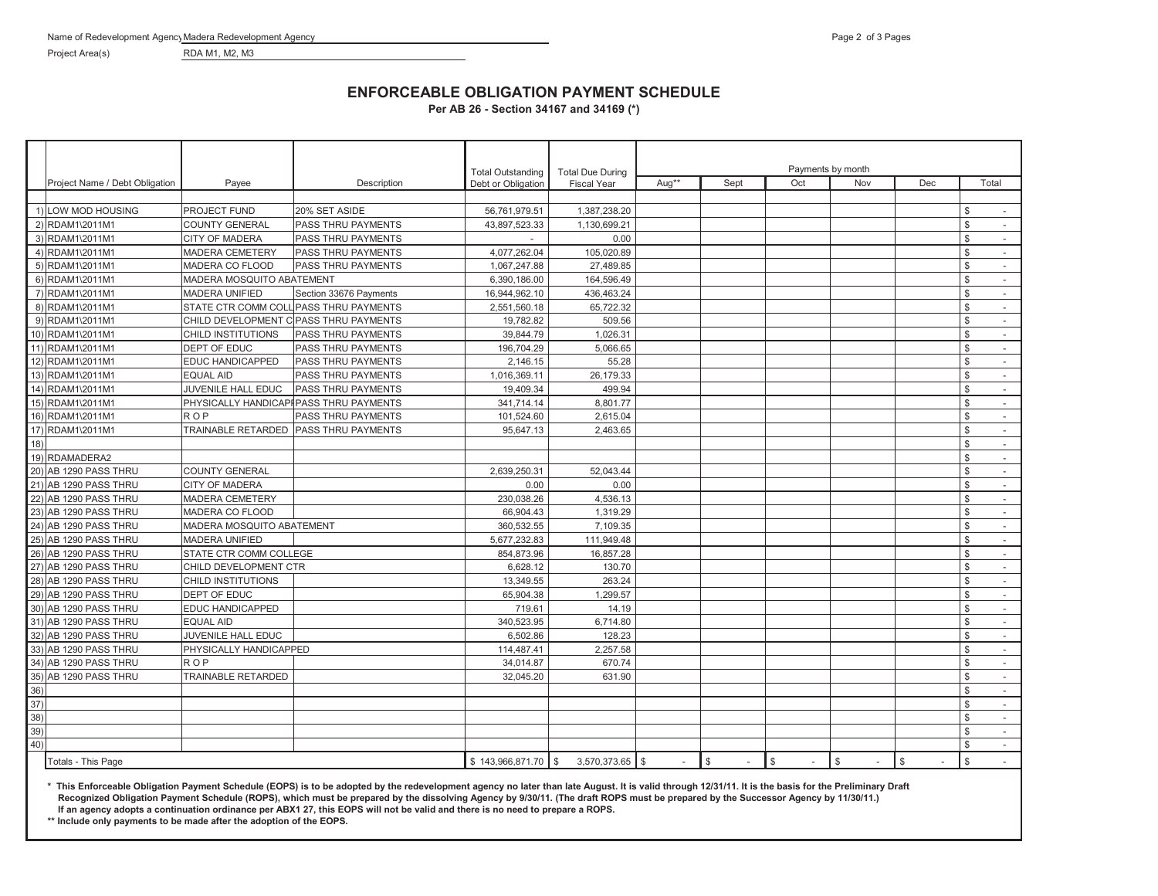Project Area(s) RDA M1, M2, M3

## **ENFORCEABLE OBLIGATION PAYMENT SCHEDULE**

**Per AB 26 - Section 34167 and 34169 (\*)**

|                                    |                                |                           |                                         | <b>Total Outstanding</b> | <b>Total Due During</b> | Payments by month |      |     |            |     |                                          |
|------------------------------------|--------------------------------|---------------------------|-----------------------------------------|--------------------------|-------------------------|-------------------|------|-----|------------|-----|------------------------------------------|
|                                    | Project Name / Debt Obligation | Payee                     | Description                             | Debt or Obligation       | <b>Fiscal Year</b>      | Aug**             | Sept | Oct | Nov        | Dec | Total                                    |
|                                    |                                |                           |                                         |                          |                         |                   |      |     |            |     |                                          |
|                                    | 1) LOW MOD HOUSING             | PROJECT FUND              | 20% SET ASIDE                           | 56,761,979.51            | 1,387,238.20            |                   |      |     |            |     | -S                                       |
|                                    | 2) RDAM1\2011M1                | <b>COUNTY GENERAL</b>     | PASS THRU PAYMENTS                      | 43,897,523.33            | 1,130,699.21            |                   |      |     |            |     | $\mathbb{S}$<br>$\sim$                   |
|                                    | 3) RDAM1\2011M1                | CITY OF MADERA            | <b>PASS THRU PAYMENTS</b>               |                          | 0.00                    |                   |      |     |            |     | <b>S</b><br>$\sim$                       |
|                                    | 4) RDAM1\2011M1                | <b>MADERA CEMETERY</b>    | <b>PASS THRU PAYMENTS</b>               | 4,077,262.04             | 105,020.89              |                   |      |     |            |     | $\mathbb{S}$<br>÷.                       |
|                                    | 5) RDAM1\2011M1                | MADERA CO FLOOD           | <b>PASS THRU PAYMENTS</b>               | 1,067,247.88             | 27,489.85               |                   |      |     |            |     | $\mathbb{S}$<br>$\sim$                   |
|                                    | 6) RDAM1\2011M1                | MADERA MOSQUITO ABATEMENT |                                         | 6,390,186.00             | 164,596.49              |                   |      |     |            |     | $\mathbb{S}$<br>$\overline{\phantom{a}}$ |
|                                    | 7) RDAM1\2011M1                | <b>MADERA UNIFIED</b>     | Section 33676 Payments                  | 16,944,962.10            | 436.463.24              |                   |      |     |            |     | <b>S</b><br>$\sim$                       |
|                                    | 8) RDAM1\2011M1                |                           | STATE CTR COMM COLL PASS THRU PAYMENTS  | 2,551,560.18             | 65,722.32               |                   |      |     |            |     | $\mathbb{S}$<br>$\sim$                   |
|                                    | 9) RDAM1\2011M1                |                           | CHILD DEVELOPMENT C PASS THRU PAYMENTS  | 19,782.82                | 509.56                  |                   |      |     |            |     | <b>S</b><br>$\sim$                       |
|                                    | 10) RDAM1\2011M1               | CHILD INSTITUTIONS        | <b>PASS THRU PAYMENTS</b>               | 39.844.79                | 1.026.31                |                   |      |     |            |     | <b>S</b><br>$\sim$                       |
|                                    | 11) RDAM1\2011M1               | DEPT OF EDUC              | <b>PASS THRU PAYMENTS</b>               | 196,704.29               | 5.066.65                |                   |      |     |            |     | $\mathbb{S}$<br>$\omega$                 |
|                                    | 12) RDAM1\2011M1               | EDUC HANDICAPPED          | <b>PASS THRU PAYMENTS</b>               | 2,146.15                 | 55.28                   |                   |      |     |            |     | $\mathbb{S}$<br>$\sim$                   |
|                                    | 13) RDAM1\2011M1               | <b>EQUAL AID</b>          | <b>PASS THRU PAYMENTS</b>               | 1,016,369.11             | 26,179.33               |                   |      |     |            |     | $\mathbb{S}$<br>$\sim$                   |
|                                    | 14) RDAM1\2011M1               | JUVENILE HALL EDUC        | <b>PASS THRU PAYMENTS</b>               | 19,409.34                | 499.94                  |                   |      |     |            |     | <b>S</b><br>$\sim$                       |
|                                    | 15) RDAM1\2011M1               |                           | PHYSICALLY HANDICAPI PASS THRU PAYMENTS | 341,714.14               | 8,801.77                |                   |      |     |            |     | \$<br>$\sim$                             |
|                                    | 16) RDAM1\2011M1               | <b>ROP</b>                | <b>PASS THRU PAYMENTS</b>               | 101,524.60               | 2,615.04                |                   |      |     |            |     | <b>S</b><br>$\sim$                       |
|                                    | 17) RDAM1\2011M1               | TRAINABLE RETARDED        | <b>PASS THRU PAYMENTS</b>               | 95,647.13                | 2,463.65                |                   |      |     |            |     | $\mathbb{S}$<br>$\sim$                   |
| $\overline{18)}$                   |                                |                           |                                         |                          |                         |                   |      |     |            |     | \$<br>÷.                                 |
|                                    | 19) RDAMADERA2                 |                           |                                         |                          |                         |                   |      |     |            |     | $\mathbb{S}$<br>$\sim$                   |
|                                    | 20) AB 1290 PASS THRU          | <b>COUNTY GENERAL</b>     |                                         | 2,639,250.31             | 52.043.44               |                   |      |     |            |     | $\mathbb{S}$<br>$\omega$                 |
|                                    | 21) AB 1290 PASS THRU          | <b>CITY OF MADERA</b>     |                                         | 0.00                     | 0.00                    |                   |      |     |            |     | $\mathbb{S}$<br>$\overline{\phantom{a}}$ |
|                                    | 22) AB 1290 PASS THRU          | <b>MADERA CEMETERY</b>    |                                         | 230,038.26               | 4,536.13                |                   |      |     |            |     | $\mathbb{S}$<br>$\sim$                   |
|                                    | 23) AB 1290 PASS THRU          | MADERA CO FLOOD           |                                         | 66,904.43                | 1,319.29                |                   |      |     |            |     | $\mathbb{S}$<br>$\sim$                   |
|                                    | 24) AB 1290 PASS THRU          | MADERA MOSQUITO ABATEMENT |                                         | 360,532.55               | 7,109.35                |                   |      |     |            |     | <b>S</b><br>$\omega$                     |
|                                    | 25) AB 1290 PASS THRU          | <b>MADERA UNIFIED</b>     |                                         | 5,677,232.83             | 111,949.48              |                   |      |     |            |     | $\mathbb{S}$<br>$\overline{\phantom{a}}$ |
|                                    | 26) AB 1290 PASS THRU          | STATE CTR COMM COLLEGE    |                                         | 854,873.96               | 16,857.28               |                   |      |     |            |     | $\mathbb S$<br>÷.                        |
|                                    | 27) AB 1290 PASS THRU          | CHILD DEVELOPMENT CTR     |                                         | 6,628.12                 | 130.70                  |                   |      |     |            |     | <b>S</b><br>$\sim$                       |
|                                    | 28) AB 1290 PASS THRU          | CHILD INSTITUTIONS        |                                         | 13,349.55                | 263.24                  |                   |      |     |            |     | $\mathbb{S}$<br>$\sim$                   |
|                                    | 29) AB 1290 PASS THRU          | DEPT OF EDUC              |                                         | 65.904.38                | 1.299.57                |                   |      |     |            |     | $\mathbb{S}$<br>$\omega$                 |
|                                    | 30) AB 1290 PASS THRU          | EDUC HANDICAPPED          |                                         | 719.61                   | 14.19                   |                   |      |     |            |     | $\mathbb{S}$<br>$\sim$                   |
|                                    | 31) AB 1290 PASS THRU          | <b>EQUAL AID</b>          |                                         | 340,523.95               | 6,714.80                |                   |      |     |            |     | $\mathbb{S}$<br>$\sim$                   |
|                                    | 32) AB 1290 PASS THRU          | JUVENILE HALL EDUC        |                                         | 6,502.86                 | 128.23                  |                   |      |     |            |     | $\mathbb S$<br>$\omega$                  |
|                                    | 33) AB 1290 PASS THRU          | PHYSICALLY HANDICAPPED    |                                         | 114,487.41               | 2,257.58                |                   |      |     |            |     | $\mathbb{S}$<br>$\sim$                   |
|                                    | 34) AB 1290 PASS THRU          | <b>ROP</b>                |                                         | 34,014.87                | 670.74                  |                   |      |     |            |     | <b>S</b><br>$\sim$                       |
|                                    | 35) AB 1290 PASS THRU          | TRAINABLE RETARDED        |                                         | 32,045.20                | 631.90                  |                   |      |     |            |     | $\mathbb{S}$<br>$\sim$                   |
|                                    |                                |                           |                                         |                          |                         |                   |      |     |            |     | $\mathbb{S}$<br>$\overline{\phantom{a}}$ |
| $\frac{36}{37}$<br>$\frac{37}{38}$ |                                |                           |                                         |                          |                         |                   |      |     |            |     | $\mathbb{S}$<br>$\sim$                   |
|                                    |                                |                           |                                         |                          |                         |                   |      |     |            |     | <b>S</b><br>$\sim$                       |
|                                    |                                |                           |                                         |                          |                         |                   |      |     |            |     | $\mathbb S$<br>$\overline{\phantom{a}}$  |
| $\frac{39}{40}$                    |                                |                           |                                         |                          |                         |                   |      |     |            |     | $\mathbb{S}$<br>$\sim$                   |
|                                    | Totals - This Page             |                           |                                         | $$143,966,871.70$ \$     | 3,570,373.65 \$         |                   | \$   | \$  | $\sqrt{3}$ | \$  | \$                                       |

**\* This Enforceable Obligation Payment Schedule (EOPS) is to be adopted by the redevelopment agency no later than late August. It is valid through 12/31/11. It is the basis for the Preliminary Draft Recognized Obligation Payment Schedule (ROPS), which must be prepared by the dissolving Agency by 9/30/11. (The draft ROPS must be prepared by the Successor Agency by 11/30/11.) If an agency adopts a continuation ordinance per ABX1 27, this EOPS will not be valid and there is no need to prepare a ROPS.**

**\*\* Include only payments to be made after the adoption of the EOPS.**